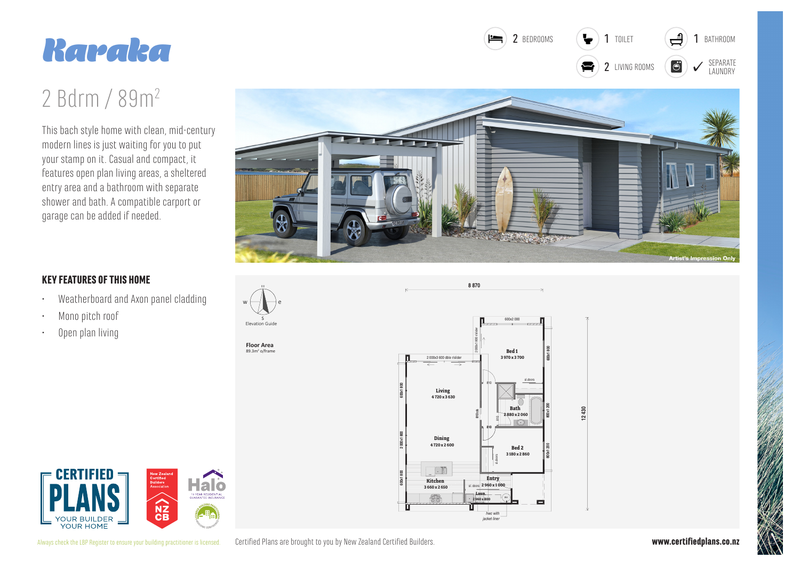



## 2 Bdrm / 89m<sup>2</sup>

This bach style home with clean, mid-century modern lines is just waiting for you to put your stamp on it. Casual and compact, it features open plan living areas, a sheltered entry area and a bathroom with separate shower and bath. A compatible carport or garage can be added if needed.



8870

## **KEY FEATURES OF THIS HOME**

- Weatherboard and Axon panel cladding  $\ddot{\phantom{0}}$
- Mono pitch roof
- Open plan living  $\ddot{\phantom{0}}$







12  $\widehat{N}$ YOUR HOME

Certified Plans are brought to you by New Zealand Certified Builders. Always check the LBP Register to ensure your building practitioner is licensed.

www.certifiedplans.co.nz